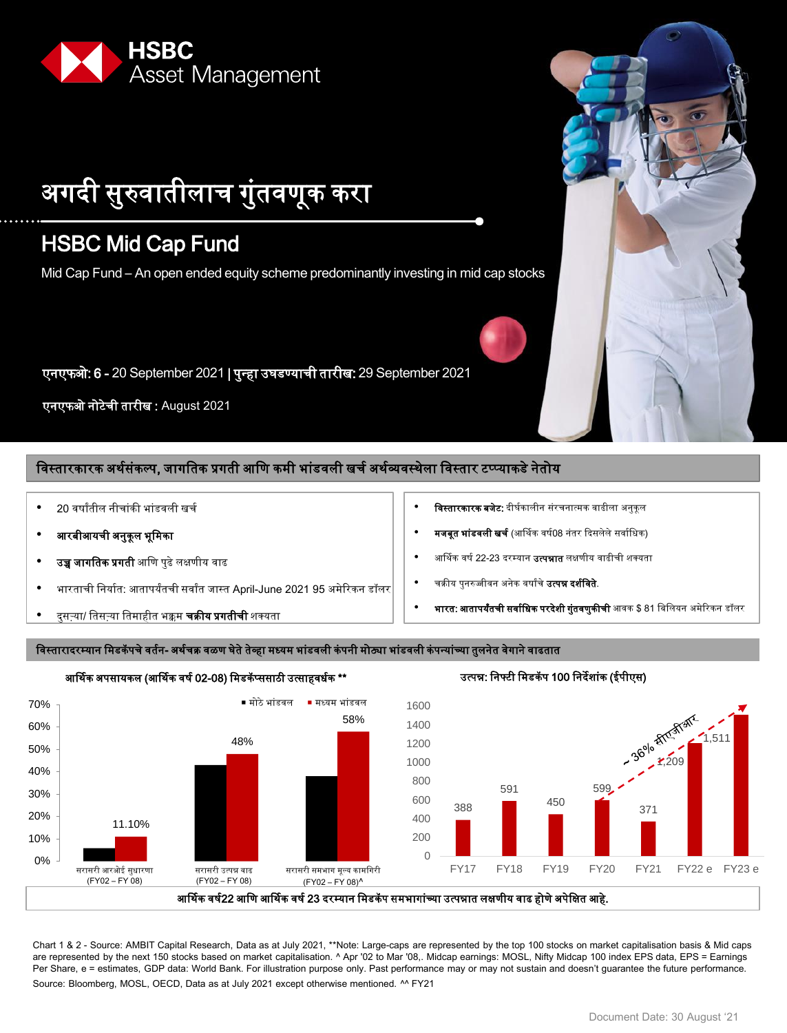

# अगदी सुरुवातीलाच गुुंतवणूक करा

## HSBC Mid Cap Fund

Mid Cap Fund – An open ended equity scheme predominantly investing in mid cap stocks

एनएफओ: 6 - 20 September 2021 | पुन्हा उघडण्याची तारीख: 29 September 2021

एनएफओ नोटेची तारीख : August 2021

#### विस्तारकारक अर्थसंकल्प, जागतिक प्रगती आणि कमी भांडवली खर्च अर्थव्यवस्थेला विस्तार टप्प्याकडे नेतोय

- 20 वषाांतील नीचाुंकी भाुंडवली खचष
- आरबीआयची अनुकूल भूमिका
- उच्च जागतिक प्रगती आणि पुढे लक्षणीय वाढ
- भारताची निर्यात: आतापर्यंतची सर्वांत जास्त April-June 2021 95 अमेरिकन डॉलर
- दुसऱ्या/ तिसऱ्या तिमाहीत भक्कम **चक्रीय प्रगतीची** शक्यता
- **विस्तारकारक बजेट:** दीर्घकालीन संरचनात्मक वाढीला अनुकूल
- **मजबूत भांडवली खर्च** (आर्थिक वर्ष08 नंतर दिसलेले सर्वाधिक)
- आर्थिक वर्ष 22-23 दरम्यान **उत्पन्नात** लक्षणीय वाढीची शक्यता
- चक्रीय पुनरुज्जीवन अनेक वर्षांचे **उत्पन्न दर्शविते**.
- **भारत: आतापर्यंतची सर्वाधिक परदेशी गुंतवणुकीची** आवक \$ 81 बिलियन अमेरिकन डॉलर

#### विस्तारादरम्यान मिडकॅपचे वर्तन- अर्थचक्र वळण घेते तेव्हा मध्यम भांडवली कंपनी मोठ्या भांडवली कंपन्यांच्या तुलनेत वेगाने वाढतात



Chart 1 & 2 - Source: AMBIT Capital Research, Data as at July 2021, \*\*Note: Large-caps are represented by the top 100 stocks on market capitalisation basis & Mid caps are represented by the next 150 stocks based on market capitalisation. ^ Apr '02 to Mar '08,. Midcap earnings: MOSL, Nifty Midcap 100 index EPS data, EPS = Earnings Per Share, e = estimates, GDP data: World Bank. For illustration purpose only. Past performance may or may not sustain and doesn't guarantee the future performance.

Source: Bloomberg, MOSL, OECD, Data as at July 2021 except otherwise mentioned. ^^ FY21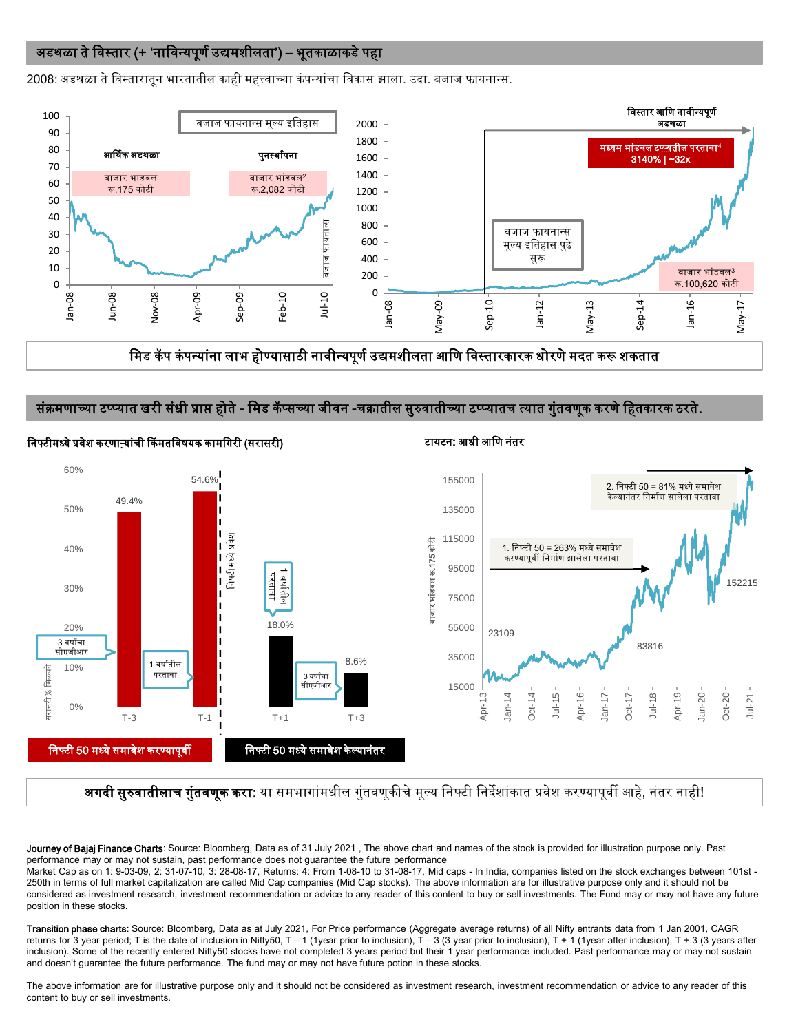#### अडथळा ते विस्तार (+ 'नाविन्यपूर्ण उद्यमशीलता') – भूतकाळाकडे पहा

2008: अडथळा ते विस्तारातून भारतातील काही महत्त्वाच्या कंपन्यांचा विकास झाला. उदा. बजाज फायनान्स.



मिड कॅप कंपन्यांना लाभ होण्यासाठी नावीन्यपूर्ण उद्यमशीलता आणि विस्तारकारक धोरणे मदत करू शकतात

#### संक्रमणाच्या टप्प्यात खरी संधी प्राप्त होते - मिड कॅप्सच्या जीवन -चक्रातील सुरुवातीच्या टप्प्यातच त्यात गुंतवणूक करणे हितकारक ठरते.



निफ्टीमध्ये प्रवेश करणाऱ्यांची किंमतविषयक कामगिरी (सरासरी) टायटन: आधी आणि नंतर दिन कामणि नंतर

#### **अगदी सुरुवातीलाच गुंतवणूक करा:** या समभागांमधील गुंतवणूकीचे मूल्य निफ्टी निर्देशांकात प्रवेश करण्यापूर्वी आहे, नंतर नाही!

Journey of Bajaj Finance Charts: Source: Bloomberg, Data as of 31 July 2021, The above chart and names of the stock is provided for illustration purpose only. Past performance may or may not sustain, past performance does not guarantee the future performance

Market Cap as on 1: 9-03-09, 2: 31-07-10, 3: 28-08-17, Returns: 4: From 1-08-10 to 31-08-17, Mid caps - In India, companies listed on the stock exchanges between 101st - 250th in terms of full market capitalization are called Mid Cap companies (Mid Cap stocks). The above information are for illustrative purpose only and it should not be considered as investment research, investment recommendation or advice to any reader of this content to buy or sell investments. The Fund may or may not have any future position in these stocks.

Transition phase charts: Source: Bloomberg, Data as at July 2021, For Price performance (Aggregate average returns) of all Nifty entrants data from 1 Jan 2001, CAGR returns for 3 year period; T is the date of inclusion in Nifty50, T - 1 (1year prior to inclusion), T - 3 (3 year prior to inclusion), T + 1 (1year after inclusion), T + 3 (3 years after inclusion). Some of the recently entered Nifty50 stocks have not completed 3 years period but their 1 year performance included. Past performance may or may not sustain and doesn't guarantee the future performance. The fund may or may not have future potion in these stocks.

The above information are for illustrative purpose only and it should not be considered as investment research, investment recommendation or advice to any reader of this content to buy or sell investments.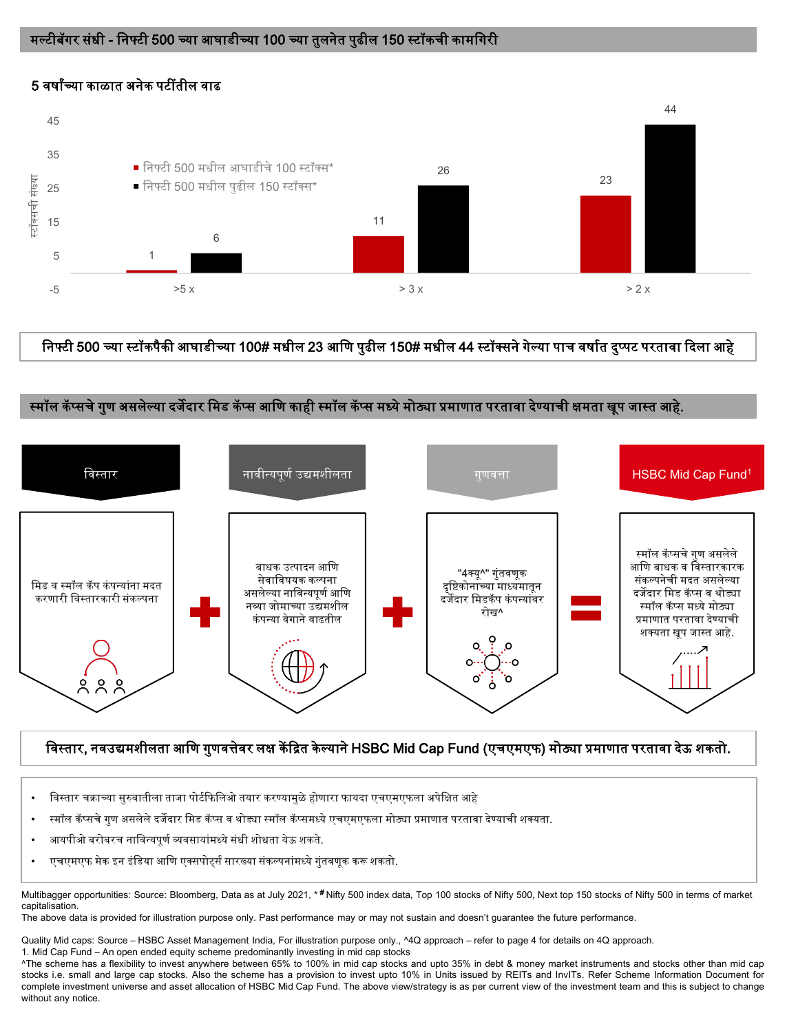## मल्टीबॅगर संधी - निफ्टी 500 च्या आघाडीच्या 100 च्या तुलनेत पुढील 150 स्टॉकची कामगिरी

## 5 5 वषाांच्या काळात अनेक पटींतील वाढ



## णनफ्टी 500 च्या स्टॉकपैकी आघाडीच्या 100# मधील 23 आणण पुढील 150# मधील 44 स्टॉक्सने गेल्या पाच वषाषत दुप्पट परतावा ददला आहे

#### स्मॉल कॅप्सचे गुण असलेल्या दर्जेदार मिड कॅप्स आणि काही स्मॉल कॅप्स मध्ये मोठ्या प्रमाणात परतावा देण्याची क्षमता खूप जास्त आहे.



## णवस्तार, नवउद्यमशीलता आणण गुणवत्तेवर लक्ष कें दित के ल्याने HSBC Mid Cap Fund (एचएमएफ) मोठ्या प्रमाणात परतावा देऊ शकतो.

- विस्तार चक्राच्या सुरुवातीला ताजा पोर्टफिलिओ तयार करण्यामुळे होणारा फायदा एचएमएफला अपेक्षित आहे
- स्मॉल कॅ प्सचेगुण असलेलेदजेदार णमड कॅ प्स व थोड्या स्मॉल कॅ प्समध्येएचएमएफला मोठ्या प्रमाणात परतावा देण्याची शक्यता.
- आयपीओ बरोबरच नाविन्यपुर्ण व्यवसायांमध्ये संधी शोधता येऊ शकते.
- एचएमएफ मेक इन इंडिया आणि एक्सपोर्ट्स सारख्या संकल्पनांमध्ये गुंतवणुक करू शकतो.

Multibagger opportunities: Source: Bloomberg, Data as at July 2021, \* #Nifty 500 index data, Top 100 stocks of Nifty 500, Next top 150 stocks of Nifty 500 in terms of market capitalisation.

The above data is provided for illustration purpose only. Past performance may or may not sustain and doesn't guarantee the future performance.

Quality Mid caps: Source – HSBC Asset Management India, For illustration purpose only., ^4Q approach – refer to page 4 for details on 4Q approach.

1. Mid Cap Fund – An open ended equity scheme predominantly investing in mid cap stocks

^The scheme has a flexibility to invest anywhere between 65% to 100% in mid cap stocks and upto 35% in debt & money market instruments and stocks other than mid cap stocks i.e. small and large cap stocks. Also the scheme has a provision to invest upto 10% in Units issued by REITs and InvITs. Refer Scheme Information Document for complete investment universe and asset allocation of HSBC Mid Cap Fund. The above view/strategy is as per current view of the investment team and this is subject to change without any notice.